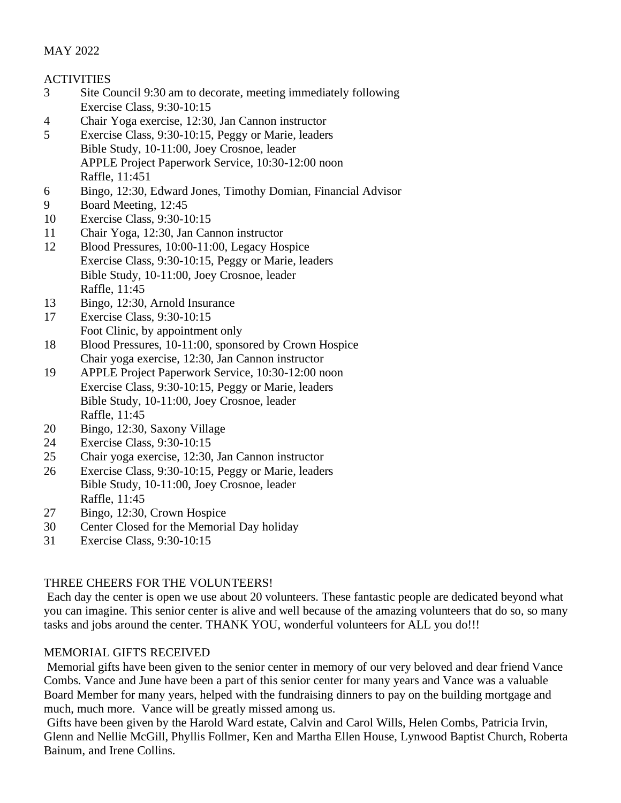# MAY 2022

## **ACTIVITIES**

- 3 Site Council 9:30 am to decorate, meeting immediately following Exercise Class, 9:30-10:15
- 4 Chair Yoga exercise, 12:30, Jan Cannon instructor
- 5 Exercise Class, 9:30-10:15, Peggy or Marie, leaders Bible Study, 10-11:00, Joey Crosnoe, leader APPLE Project Paperwork Service, 10:30-12:00 noon Raffle, 11:451
- 6 Bingo, 12:30, Edward Jones, Timothy Domian, Financial Advisor
- 9 Board Meeting, 12:45
- 10 Exercise Class, 9:30-10:15
- 11 Chair Yoga, 12:30, Jan Cannon instructor
- 12 Blood Pressures, 10:00-11:00, Legacy Hospice Exercise Class, 9:30-10:15, Peggy or Marie, leaders Bible Study, 10-11:00, Joey Crosnoe, leader Raffle, 11:45
- 13 Bingo, 12:30, Arnold Insurance
- 17 Exercise Class, 9:30-10:15 Foot Clinic, by appointment only
- 18 Blood Pressures, 10-11:00, sponsored by Crown Hospice Chair yoga exercise, 12:30, Jan Cannon instructor
- 19 APPLE Project Paperwork Service, 10:30-12:00 noon Exercise Class, 9:30-10:15, Peggy or Marie, leaders Bible Study, 10-11:00, Joey Crosnoe, leader Raffle, 11:45
- 20 Bingo, 12:30, Saxony Village
- 24 Exercise Class, 9:30-10:15
- 25 Chair yoga exercise, 12:30, Jan Cannon instructor
- 26 Exercise Class, 9:30-10:15, Peggy or Marie, leaders Bible Study, 10-11:00, Joey Crosnoe, leader Raffle, 11:45
- 27 Bingo, 12:30, Crown Hospice
- 30 Center Closed for the Memorial Day holiday
- 31 Exercise Class, 9:30-10:15

# THREE CHEERS FOR THE VOLUNTEERS!

Each day the center is open we use about 20 volunteers. These fantastic people are dedicated beyond what you can imagine. This senior center is alive and well because of the amazing volunteers that do so, so many tasks and jobs around the center. THANK YOU, wonderful volunteers for ALL you do!!!

# MEMORIAL GIFTS RECEIVED

Memorial gifts have been given to the senior center in memory of our very beloved and dear friend Vance Combs. Vance and June have been a part of this senior center for many years and Vance was a valuable Board Member for many years, helped with the fundraising dinners to pay on the building mortgage and much, much more. Vance will be greatly missed among us.

Gifts have been given by the Harold Ward estate, Calvin and Carol Wills, Helen Combs, Patricia Irvin, Glenn and Nellie McGill, Phyllis Follmer, Ken and Martha Ellen House, Lynwood Baptist Church, Roberta Bainum, and Irene Collins.